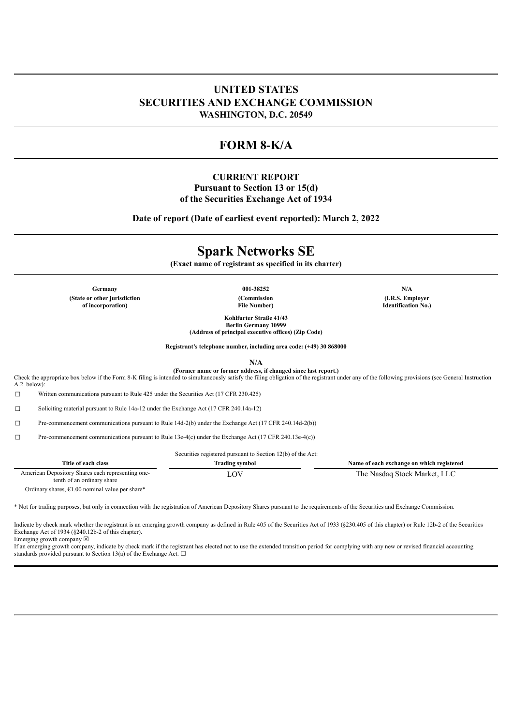# **UNITED STATES SECURITIES AND EXCHANGE COMMISSION WASHINGTON, D.C. 20549**

# **FORM 8-K/A**

## **CURRENT REPORT Pursuant to Section 13 or 15(d) of the Securities Exchange Act of 1934**

**Date of report (Date of earliest event reported): March 2, 2022**

# **Spark Networks SE**

**(Exact name of registrant as specified in its charter)**

**Germany 001-38252 N/A (State or other jurisdiction of incorporation)**

**(Commission File Number)**

**(I.R.S. Employer Identification No.)**

**Kohlfurter Straße 41/43 Berlin Germany 10999 (Address of principal executive offices) (Zip Code)**

**Registrant's telephone number, including area code: (+49) 30 868000**

**N/A**

**(Former name or former address, if changed since last report.)**

Check the appropriate box below if the Form 8-K filing is intended to simultaneously satisfy the filing obligation of the registrant under any of the following provisions (see General Instruction A.2. below):

☐ Written communications pursuant to Rule 425 under the Securities Act (17 CFR 230.425)

☐ Soliciting material pursuant to Rule 14a-12 under the Exchange Act (17 CFR 240.14a-12)

☐ Pre-commencement communications pursuant to Rule 14d-2(b) under the Exchange Act (17 CFR 240.14d-2(b))

☐ Pre-commencement communications pursuant to Rule 13e-4(c) under the Exchange Act (17 CFR 240.13e-4(c))

Securities registered pursuant to Section 12(b) of the Act:

| Title of each class                                                             | Irading symbol | Name of each exchange on which registered |
|---------------------------------------------------------------------------------|----------------|-------------------------------------------|
| American Depository Shares each representing one-<br>tenth of an ordinary share |                | The Nasdag Stock Market, LLC              |

Ordinary shares,  $€1.00$  nominal value per share\*

\* Not for trading purposes, but only in connection with the registration of American Depository Shares pursuant to the requirements of the Securities and Exchange Commission.

Indicate by check mark whether the registrant is an emerging growth company as defined in Rule 405 of the Securities Act of 1933 (§230.405 of this chapter) or Rule 12b-2 of the Securities Exchange Act of 1934 (§240.12b-2 of this chapter). Emerging growth company  $\boxtimes$ 

If an emerging growth company, indicate by check mark if the registrant has elected not to use the extended transition period for complying with any new or revised financial accounting standards provided pursuant to Section 13(a) of the Exchange Act.  $\square$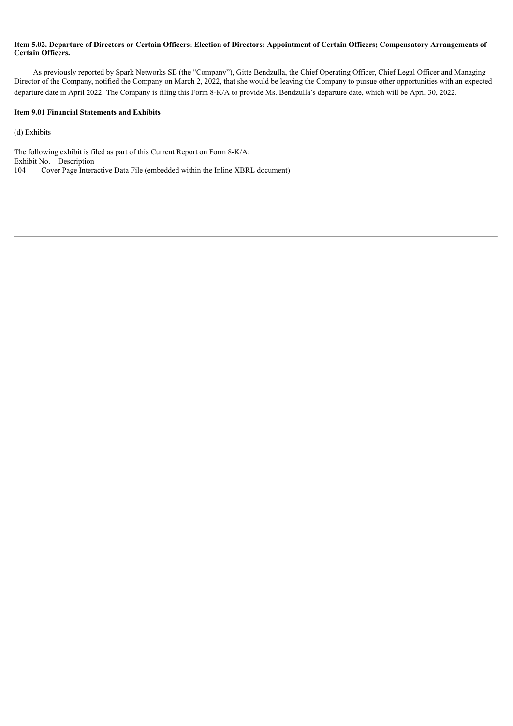#### Item 5.02. Departure of Directors or Certain Officers; Election of Directors; Appointment of Certain Officers; Compensatory Arrangements of **Certain Officers.**

As previously reported by Spark Networks SE (the "Company"), Gitte Bendzulla, the Chief Operating Officer, Chief Legal Officer and Managing Director of the Company, notified the Company on March 2, 2022, that she would be leaving the Company to pursue other opportunities with an expected departure date in April 2022. The Company is filing this Form 8-K/A to provide Ms. Bendzulla's departure date, which will be April 30, 2022.

#### **Item 9.01 Financial Statements and Exhibits**

(d) Exhibits

The following exhibit is filed as part of this Current Report on Form 8-K/A: Exhibit No. Description 104 Cover Page Interactive Data File (embedded within the Inline XBRL document)